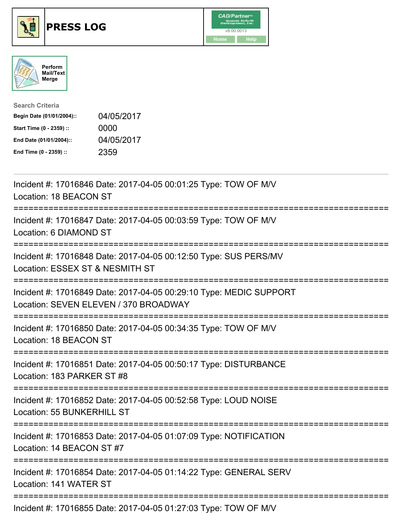





| <b>Search Criteria</b>    |            |
|---------------------------|------------|
| Begin Date (01/01/2004):: | 04/05/2017 |
| Start Time (0 - 2359) ::  | 0000       |
| End Date (01/01/2004)::   | 04/05/2017 |
| End Time (0 - 2359) ::    | 2359       |

| Incident #: 17016846 Date: 2017-04-05 00:01:25 Type: TOW OF M/V<br>Location: 18 BEACON ST                                         |
|-----------------------------------------------------------------------------------------------------------------------------------|
| Incident #: 17016847 Date: 2017-04-05 00:03:59 Type: TOW OF M/V<br>Location: 6 DIAMOND ST                                         |
| Incident #: 17016848 Date: 2017-04-05 00:12:50 Type: SUS PERS/MV<br>Location: ESSEX ST & NESMITH ST<br>;========================= |
| Incident #: 17016849 Date: 2017-04-05 00:29:10 Type: MEDIC SUPPORT<br>Location: SEVEN ELEVEN / 370 BROADWAY                       |
| Incident #: 17016850 Date: 2017-04-05 00:34:35 Type: TOW OF M/V<br>Location: 18 BEACON ST                                         |
| Incident #: 17016851 Date: 2017-04-05 00:50:17 Type: DISTURBANCE<br>Location: 183 PARKER ST #8                                    |
| Incident #: 17016852 Date: 2017-04-05 00:52:58 Type: LOUD NOISE<br>Location: 55 BUNKERHILL ST                                     |
| Incident #: 17016853 Date: 2017-04-05 01:07:09 Type: NOTIFICATION<br>Location: 14 BEACON ST #7                                    |
| Incident #: 17016854 Date: 2017-04-05 01:14:22 Type: GENERAL SERV<br>Location: 141 WATER ST                                       |
| $Inoidont #: 470460EF$ Deta: $2047.04.05.027.02$ Tupe: $T(0)M$ OF MAL                                                             |

Incident #: 17016855 Date: 2017-04-05 01:27:03 Type: TOW OF M/V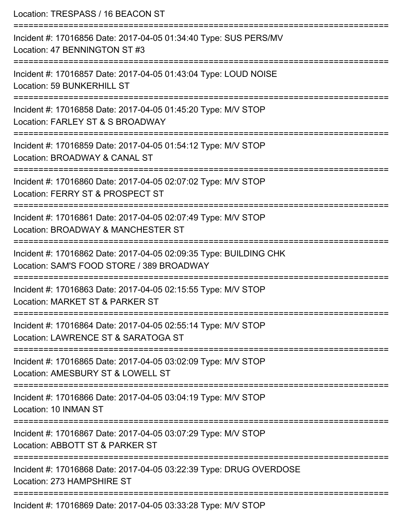| Location: TRESPASS / 16 BEACON ST                                                                                                          |
|--------------------------------------------------------------------------------------------------------------------------------------------|
| Incident #: 17016856 Date: 2017-04-05 01:34:40 Type: SUS PERS/MV<br>Location: 47 BENNINGTON ST #3                                          |
| Incident #: 17016857 Date: 2017-04-05 01:43:04 Type: LOUD NOISE<br>Location: 59 BUNKERHILL ST                                              |
| Incident #: 17016858 Date: 2017-04-05 01:45:20 Type: M/V STOP<br>Location: FARLEY ST & S BROADWAY                                          |
| Incident #: 17016859 Date: 2017-04-05 01:54:12 Type: M/V STOP<br>Location: BROADWAY & CANAL ST                                             |
| Incident #: 17016860 Date: 2017-04-05 02:07:02 Type: M/V STOP<br>Location: FERRY ST & PROSPECT ST                                          |
| ===================================<br>Incident #: 17016861 Date: 2017-04-05 02:07:49 Type: M/V STOP<br>Location: BROADWAY & MANCHESTER ST |
| Incident #: 17016862 Date: 2017-04-05 02:09:35 Type: BUILDING CHK<br>Location: SAM'S FOOD STORE / 389 BROADWAY                             |
| Incident #: 17016863 Date: 2017-04-05 02:15:55 Type: M/V STOP<br>Location: MARKET ST & PARKER ST                                           |
| Incident #: 17016864 Date: 2017-04-05 02:55:14 Type: M/V STOP<br>Location: LAWRENCE ST & SARATOGA ST                                       |
| Incident #: 17016865 Date: 2017-04-05 03:02:09 Type: M/V STOP<br>Location: AMESBURY ST & LOWELL ST                                         |
| Incident #: 17016866 Date: 2017-04-05 03:04:19 Type: M/V STOP<br>Location: 10 INMAN ST                                                     |
| Incident #: 17016867 Date: 2017-04-05 03:07:29 Type: M/V STOP<br>Location: ABBOTT ST & PARKER ST                                           |
| Incident #: 17016868 Date: 2017-04-05 03:22:39 Type: DRUG OVERDOSE<br>Location: 273 HAMPSHIRE ST                                           |
| $20 \text{ }\text{Poisson}$ $2047.04.05.02.22.00.$ Tures, $\text{MAD}$ CTOF                                                                |

Incident #: 17016869 Date: 2017-04-05 03:33:28 Type: M/V STOP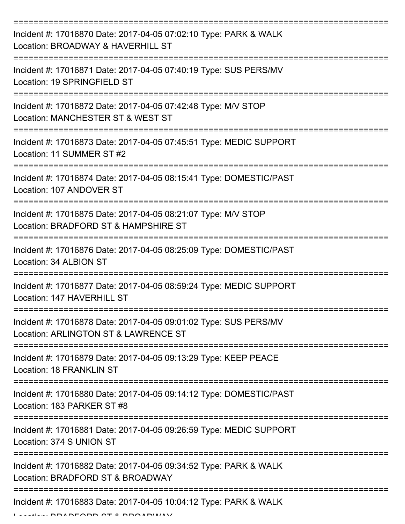| Incident #: 17016870 Date: 2017-04-05 07:02:10 Type: PARK & WALK<br>Location: BROADWAY & HAVERHILL ST    |
|----------------------------------------------------------------------------------------------------------|
| Incident #: 17016871 Date: 2017-04-05 07:40:19 Type: SUS PERS/MV<br>Location: 19 SPRINGFIELD ST          |
| Incident #: 17016872 Date: 2017-04-05 07:42:48 Type: M/V STOP<br>Location: MANCHESTER ST & WEST ST       |
| Incident #: 17016873 Date: 2017-04-05 07:45:51 Type: MEDIC SUPPORT<br>Location: 11 SUMMER ST #2          |
| Incident #: 17016874 Date: 2017-04-05 08:15:41 Type: DOMESTIC/PAST<br>Location: 107 ANDOVER ST           |
| Incident #: 17016875 Date: 2017-04-05 08:21:07 Type: M/V STOP<br>Location: BRADFORD ST & HAMPSHIRE ST    |
| Incident #: 17016876 Date: 2017-04-05 08:25:09 Type: DOMESTIC/PAST<br>Location: 34 ALBION ST             |
| Incident #: 17016877 Date: 2017-04-05 08:59:24 Type: MEDIC SUPPORT<br>Location: 147 HAVERHILL ST         |
| Incident #: 17016878 Date: 2017-04-05 09:01:02 Type: SUS PERS/MV<br>Location: ARLINGTON ST & LAWRENCE ST |
| Incident #: 17016879 Date: 2017-04-05 09:13:29 Type: KEEP PEACE<br><b>Location: 18 FRANKLIN ST</b>       |
| Incident #: 17016880 Date: 2017-04-05 09:14:12 Type: DOMESTIC/PAST<br>Location: 183 PARKER ST #8         |
| Incident #: 17016881 Date: 2017-04-05 09:26:59 Type: MEDIC SUPPORT<br>Location: 374 S UNION ST           |
| Incident #: 17016882 Date: 2017-04-05 09:34:52 Type: PARK & WALK<br>Location: BRADFORD ST & BROADWAY     |
| Incident #: 17016883 Date: 2017-04-05 10:04:12 Type: PARK & WALK                                         |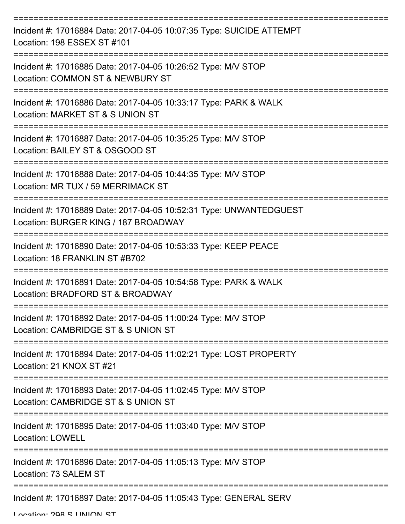| Incident #: 17016884 Date: 2017-04-05 10:07:35 Type: SUICIDE ATTEMPT<br>Location: 198 ESSEX ST #101        |
|------------------------------------------------------------------------------------------------------------|
| Incident #: 17016885 Date: 2017-04-05 10:26:52 Type: M/V STOP<br>Location: COMMON ST & NEWBURY ST          |
| Incident #: 17016886 Date: 2017-04-05 10:33:17 Type: PARK & WALK<br>Location: MARKET ST & S UNION ST       |
| Incident #: 17016887 Date: 2017-04-05 10:35:25 Type: M/V STOP<br>Location: BAILEY ST & OSGOOD ST           |
| Incident #: 17016888 Date: 2017-04-05 10:44:35 Type: M/V STOP<br>Location: MR TUX / 59 MERRIMACK ST        |
| Incident #: 17016889 Date: 2017-04-05 10:52:31 Type: UNWANTEDGUEST<br>Location: BURGER KING / 187 BROADWAY |
| Incident #: 17016890 Date: 2017-04-05 10:53:33 Type: KEEP PEACE<br>Location: 18 FRANKLIN ST #B702          |
| Incident #: 17016891 Date: 2017-04-05 10:54:58 Type: PARK & WALK<br>Location: BRADFORD ST & BROADWAY       |
| Incident #: 17016892 Date: 2017-04-05 11:00:24 Type: M/V STOP<br>Location: CAMBRIDGE ST & S UNION ST       |
| Incident #: 17016894 Date: 2017-04-05 11:02:21 Type: LOST PROPERTY<br>Location: 21 KNOX ST #21             |
| Incident #: 17016893 Date: 2017-04-05 11:02:45 Type: M/V STOP<br>Location: CAMBRIDGE ST & S UNION ST       |
| Incident #: 17016895 Date: 2017-04-05 11:03:40 Type: M/V STOP<br><b>Location: LOWELL</b>                   |
| Incident #: 17016896 Date: 2017-04-05 11:05:13 Type: M/V STOP<br>Location: 73 SALEM ST                     |
| Incident #: 17016897 Date: 2017-04-05 11:05:43 Type: GENERAL SERV                                          |

Location: 208 C LINIION CT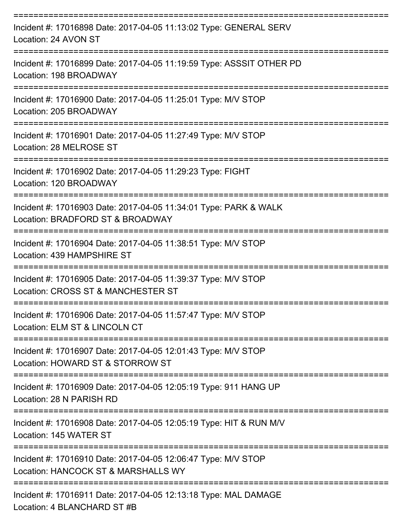| Incident #: 17016898 Date: 2017-04-05 11:13:02 Type: GENERAL SERV<br>Location: 24 AVON ST             |
|-------------------------------------------------------------------------------------------------------|
| Incident #: 17016899 Date: 2017-04-05 11:19:59 Type: ASSSIT OTHER PD<br>Location: 198 BROADWAY        |
| Incident #: 17016900 Date: 2017-04-05 11:25:01 Type: M/V STOP<br>Location: 205 BROADWAY               |
| Incident #: 17016901 Date: 2017-04-05 11:27:49 Type: M/V STOP<br>Location: 28 MELROSE ST              |
| Incident #: 17016902 Date: 2017-04-05 11:29:23 Type: FIGHT<br>Location: 120 BROADWAY                  |
| Incident #: 17016903 Date: 2017-04-05 11:34:01 Type: PARK & WALK<br>Location: BRADFORD ST & BROADWAY  |
| Incident #: 17016904 Date: 2017-04-05 11:38:51 Type: M/V STOP<br>Location: 439 HAMPSHIRE ST           |
| Incident #: 17016905 Date: 2017-04-05 11:39:37 Type: M/V STOP<br>Location: CROSS ST & MANCHESTER ST   |
| Incident #: 17016906 Date: 2017-04-05 11:57:47 Type: M/V STOP<br>Location: ELM ST & LINCOLN CT        |
| Incident #: 17016907 Date: 2017-04-05 12:01:43 Type: M/V STOP<br>Location: HOWARD ST & STORROW ST     |
| Incident #: 17016909 Date: 2017-04-05 12:05:19 Type: 911 HANG UP<br>Location: 28 N PARISH RD          |
| Incident #: 17016908 Date: 2017-04-05 12:05:19 Type: HIT & RUN M/V<br>Location: 145 WATER ST          |
| Incident #: 17016910 Date: 2017-04-05 12:06:47 Type: M/V STOP<br>Location: HANCOCK ST & MARSHALLS WY  |
| Incident #: 17016911 Date: 2017-04-05 12:13:18 Type: MAL DAMAGE<br>$L$ contign: $A$ DLANCHADD CT $#D$ |

Location: 4 BLANCHARD ST #B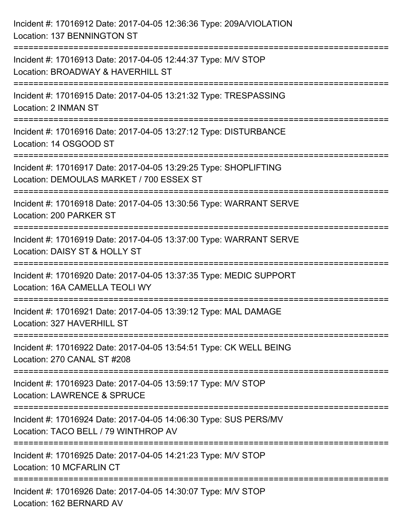| Incident #: 17016912 Date: 2017-04-05 12:36:36 Type: 209A/VIOLATION<br>Location: 137 BENNINGTON ST                                 |
|------------------------------------------------------------------------------------------------------------------------------------|
| Incident #: 17016913 Date: 2017-04-05 12:44:37 Type: M/V STOP<br>Location: BROADWAY & HAVERHILL ST                                 |
| Incident #: 17016915 Date: 2017-04-05 13:21:32 Type: TRESPASSING<br>Location: 2 INMAN ST                                           |
| Incident #: 17016916 Date: 2017-04-05 13:27:12 Type: DISTURBANCE<br>Location: 14 OSGOOD ST                                         |
| Incident #: 17016917 Date: 2017-04-05 13:29:25 Type: SHOPLIFTING<br>Location: DEMOULAS MARKET / 700 ESSEX ST<br>================== |
| Incident #: 17016918 Date: 2017-04-05 13:30:56 Type: WARRANT SERVE<br>Location: 200 PARKER ST                                      |
| Incident #: 17016919 Date: 2017-04-05 13:37:00 Type: WARRANT SERVE<br>Location: DAISY ST & HOLLY ST                                |
| Incident #: 17016920 Date: 2017-04-05 13:37:35 Type: MEDIC SUPPORT<br>Location: 16A CAMELLA TEOLI WY                               |
| Incident #: 17016921 Date: 2017-04-05 13:39:12 Type: MAL DAMAGE<br>Location: 327 HAVERHILL ST                                      |
| Incident #: 17016922 Date: 2017-04-05 13:54:51 Type: CK WELL BEING<br>Location: 270 CANAL ST #208                                  |
| Incident #: 17016923 Date: 2017-04-05 13:59:17 Type: M/V STOP<br><b>Location: LAWRENCE &amp; SPRUCE</b>                            |
| Incident #: 17016924 Date: 2017-04-05 14:06:30 Type: SUS PERS/MV<br>Location: TACO BELL / 79 WINTHROP AV                           |
| Incident #: 17016925 Date: 2017-04-05 14:21:23 Type: M/V STOP<br>Location: 10 MCFARLIN CT                                          |
| Incident #: 17016926 Date: 2017-04-05 14:30:07 Type: M/V STOP<br>Location: 162 BERNARD AV                                          |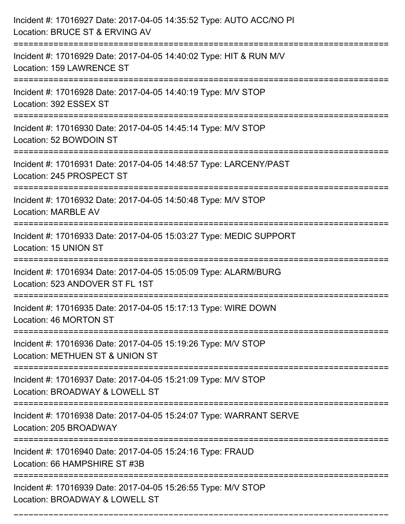| Incident #: 17016927 Date: 2017-04-05 14:35:52 Type: AUTO ACC/NO PI<br>Location: BRUCE ST & ERVING AV                   |
|-------------------------------------------------------------------------------------------------------------------------|
| Incident #: 17016929 Date: 2017-04-05 14:40:02 Type: HIT & RUN M/V<br>Location: 159 LAWRENCE ST                         |
| Incident #: 17016928 Date: 2017-04-05 14:40:19 Type: M/V STOP<br>Location: 392 ESSEX ST                                 |
| Incident #: 17016930 Date: 2017-04-05 14:45:14 Type: M/V STOP<br>Location: 52 BOWDOIN ST                                |
| Incident #: 17016931 Date: 2017-04-05 14:48:57 Type: LARCENY/PAST<br>Location: 245 PROSPECT ST                          |
| Incident #: 17016932 Date: 2017-04-05 14:50:48 Type: M/V STOP<br><b>Location: MARBLE AV</b>                             |
| Incident #: 17016933 Date: 2017-04-05 15:03:27 Type: MEDIC SUPPORT<br>Location: 15 UNION ST                             |
| Incident #: 17016934 Date: 2017-04-05 15:05:09 Type: ALARM/BURG<br>Location: 523 ANDOVER ST FL 1ST                      |
| Incident #: 17016935 Date: 2017-04-05 15:17:13 Type: WIRE DOWN<br>Location: 46 MORTON ST                                |
| :==================<br>Incident #: 17016936 Date: 2017-04-05 15:19:26 Type: M/V STOP<br>Location: METHUEN ST & UNION ST |
| Incident #: 17016937 Date: 2017-04-05 15:21:09 Type: M/V STOP<br>Location: BROADWAY & LOWELL ST                         |
| Incident #: 17016938 Date: 2017-04-05 15:24:07 Type: WARRANT SERVE<br>Location: 205 BROADWAY                            |
| Incident #: 17016940 Date: 2017-04-05 15:24:16 Type: FRAUD<br>Location: 66 HAMPSHIRE ST #3B                             |
| Incident #: 17016939 Date: 2017-04-05 15:26:55 Type: M/V STOP<br>Location: BROADWAY & LOWELL ST                         |

===========================================================================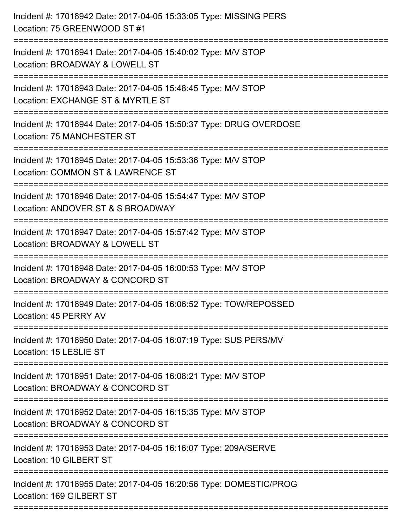| =================== | Incident #: 17016942 Date: 2017-04-05 15:33:05 Type: MISSING PERS<br>Location: 75 GREENWOOD ST #1  |
|---------------------|----------------------------------------------------------------------------------------------------|
|                     | Incident #: 17016941 Date: 2017-04-05 15:40:02 Type: M/V STOP<br>Location: BROADWAY & LOWELL ST    |
|                     | Incident #: 17016943 Date: 2017-04-05 15:48:45 Type: M/V STOP<br>Location: EXCHANGE ST & MYRTLE ST |
|                     | Incident #: 17016944 Date: 2017-04-05 15:50:37 Type: DRUG OVERDOSE<br>Location: 75 MANCHESTER ST   |
|                     | Incident #: 17016945 Date: 2017-04-05 15:53:36 Type: M/V STOP<br>Location: COMMON ST & LAWRENCE ST |
|                     | Incident #: 17016946 Date: 2017-04-05 15:54:47 Type: M/V STOP<br>Location: ANDOVER ST & S BROADWAY |
|                     | Incident #: 17016947 Date: 2017-04-05 15:57:42 Type: M/V STOP<br>Location: BROADWAY & LOWELL ST    |
|                     | Incident #: 17016948 Date: 2017-04-05 16:00:53 Type: M/V STOP<br>Location: BROADWAY & CONCORD ST   |
|                     | Incident #: 17016949 Date: 2017-04-05 16:06:52 Type: TOW/REPOSSED<br>Location: 45 PERRY AV         |
|                     | Incident #: 17016950 Date: 2017-04-05 16:07:19 Type: SUS PERS/MV<br>Location: 15 LESLIE ST         |
|                     | Incident #: 17016951 Date: 2017-04-05 16:08:21 Type: M/V STOP<br>Location: BROADWAY & CONCORD ST   |
|                     | Incident #: 17016952 Date: 2017-04-05 16:15:35 Type: M/V STOP<br>Location: BROADWAY & CONCORD ST   |
|                     | Incident #: 17016953 Date: 2017-04-05 16:16:07 Type: 209A/SERVE<br>Location: 10 GILBERT ST         |
|                     | Incident #: 17016955 Date: 2017-04-05 16:20:56 Type: DOMESTIC/PROG<br>Location: 169 GILBERT ST     |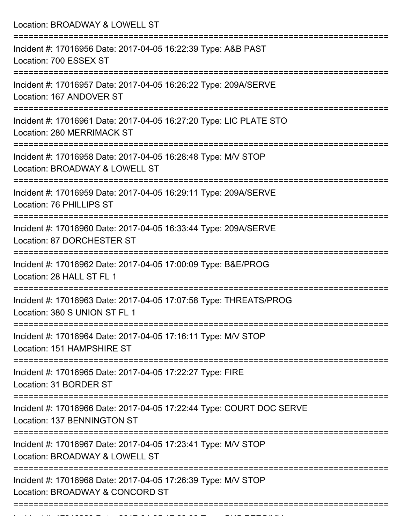Location: BROADWAY & LOWELL ST =========================================================================== Incident #: 17016956 Date: 2017-04-05 16:22:39 Type: A&B PAST Location: 700 ESSEX ST =========================================================================== Incident #: 17016957 Date: 2017-04-05 16:26:22 Type: 209A/SERVE Location: 167 ANDOVER ST =========================================================================== Incident #: 17016961 Date: 2017-04-05 16:27:20 Type: LIC PLATE STO Location: 280 MERRIMACK ST =========================================================================== Incident #: 17016958 Date: 2017-04-05 16:28:48 Type: M/V STOP Location: BROADWAY & LOWELL ST =========================================================================== Incident #: 17016959 Date: 2017-04-05 16:29:11 Type: 209A/SERVE Location: 76 PHILLIPS ST =========================================================================== Incident #: 17016960 Date: 2017-04-05 16:33:44 Type: 209A/SERVE Location: 87 DORCHESTER ST =========================================================================== Incident #: 17016962 Date: 2017-04-05 17:00:09 Type: B&E/PROG Location: 28 HALL ST FL 1 =========================================================================== Incident #: 17016963 Date: 2017-04-05 17:07:58 Type: THREATS/PROG Location: 380 S UNION ST FL 1 =========================================================================== Incident #: 17016964 Date: 2017-04-05 17:16:11 Type: M/V STOP Location: 151 HAMPSHIRE ST =========================================================================== Incident #: 17016965 Date: 2017-04-05 17:22:27 Type: FIRE Location: 31 BORDER ST =========================================================================== Incident #: 17016966 Date: 2017-04-05 17:22:44 Type: COURT DOC SERVE Location: 137 BENNINGTON ST =========================================================================== Incident #: 17016967 Date: 2017-04-05 17:23:41 Type: M/V STOP Location: BROADWAY & LOWELL ST =========================================================================== Incident #: 17016968 Date: 2017-04-05 17:26:39 Type: M/V STOP Location: BROADWAY & CONCORD ST ===========================================================================

Incident #: 17016969 Date: 2017 04 05 17016969 Date: 2017 04 05 06 17:29:33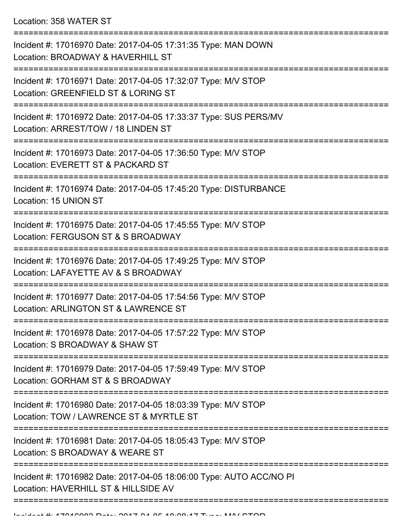| Incident #: 17016970 Date: 2017-04-05 17:31:35 Type: MAN DOWN<br>Location: BROADWAY & HAVERHILL ST          |
|-------------------------------------------------------------------------------------------------------------|
| Incident #: 17016971 Date: 2017-04-05 17:32:07 Type: M/V STOP<br>Location: GREENFIELD ST & LORING ST        |
| Incident #: 17016972 Date: 2017-04-05 17:33:37 Type: SUS PERS/MV<br>Location: ARREST/TOW / 18 LINDEN ST     |
| Incident #: 17016973 Date: 2017-04-05 17:36:50 Type: M/V STOP<br>Location: EVERETT ST & PACKARD ST          |
| Incident #: 17016974 Date: 2017-04-05 17:45:20 Type: DISTURBANCE<br>Location: 15 UNION ST                   |
| Incident #: 17016975 Date: 2017-04-05 17:45:55 Type: M/V STOP<br>Location: FERGUSON ST & S BROADWAY         |
| Incident #: 17016976 Date: 2017-04-05 17:49:25 Type: M/V STOP<br>Location: LAFAYETTE AV & S BROADWAY        |
| Incident #: 17016977 Date: 2017-04-05 17:54:56 Type: M/V STOP<br>Location: ARLINGTON ST & LAWRENCE ST       |
| Incident #: 17016978 Date: 2017-04-05 17:57:22 Type: M/V STOP<br>Location: S BROADWAY & SHAW ST             |
| Incident #: 17016979 Date: 2017-04-05 17:59:49 Type: M/V STOP<br>Location: GORHAM ST & S BROADWAY           |
| Incident #: 17016980 Date: 2017-04-05 18:03:39 Type: M/V STOP<br>Location: TOW / LAWRENCE ST & MYRTLE ST    |
| Incident #: 17016981 Date: 2017-04-05 18:05:43 Type: M/V STOP<br>Location: S BROADWAY & WEARE ST            |
| Incident #: 17016982 Date: 2017-04-05 18:06:00 Type: AUTO ACC/NO PI<br>Location: HAVERHILL ST & HILLSIDE AV |
|                                                                                                             |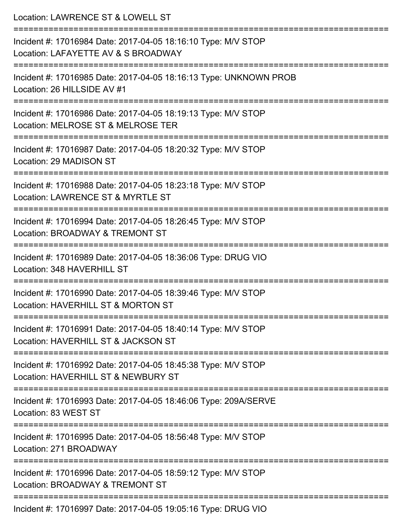| Location: LAWRENCE ST & LOWELL ST                                                                                                 |
|-----------------------------------------------------------------------------------------------------------------------------------|
| Incident #: 17016984 Date: 2017-04-05 18:16:10 Type: M/V STOP<br>Location: LAFAYETTE AV & S BROADWAY                              |
| Incident #: 17016985 Date: 2017-04-05 18:16:13 Type: UNKNOWN PROB<br>Location: 26 HILLSIDE AV #1                                  |
| Incident #: 17016986 Date: 2017-04-05 18:19:13 Type: M/V STOP<br>Location: MELROSE ST & MELROSE TER<br>======================     |
| Incident #: 17016987 Date: 2017-04-05 18:20:32 Type: M/V STOP<br>Location: 29 MADISON ST                                          |
| Incident #: 17016988 Date: 2017-04-05 18:23:18 Type: M/V STOP<br>Location: LAWRENCE ST & MYRTLE ST                                |
| :============================<br>Incident #: 17016994 Date: 2017-04-05 18:26:45 Type: M/V STOP<br>Location: BROADWAY & TREMONT ST |
| Incident #: 17016989 Date: 2017-04-05 18:36:06 Type: DRUG VIO<br>Location: 348 HAVERHILL ST                                       |
| Incident #: 17016990 Date: 2017-04-05 18:39:46 Type: M/V STOP<br>Location: HAVERHILL ST & MORTON ST                               |
| Incident #: 17016991 Date: 2017-04-05 18:40:14 Type: M/V STOP<br>Location: HAVERHILL ST & JACKSON ST                              |
| Incident #: 17016992 Date: 2017-04-05 18:45:38 Type: M/V STOP<br>Location: HAVERHILL ST & NEWBURY ST                              |
| Incident #: 17016993 Date: 2017-04-05 18:46:06 Type: 209A/SERVE<br>Location: 83 WEST ST                                           |
| Incident #: 17016995 Date: 2017-04-05 18:56:48 Type: M/V STOP<br>Location: 271 BROADWAY                                           |
| Incident #: 17016996 Date: 2017-04-05 18:59:12 Type: M/V STOP<br>Location: BROADWAY & TREMONT ST                                  |
| Incident #: 17016997 Date: 2017-04-05 19:05:16 Type: DRUG VIO                                                                     |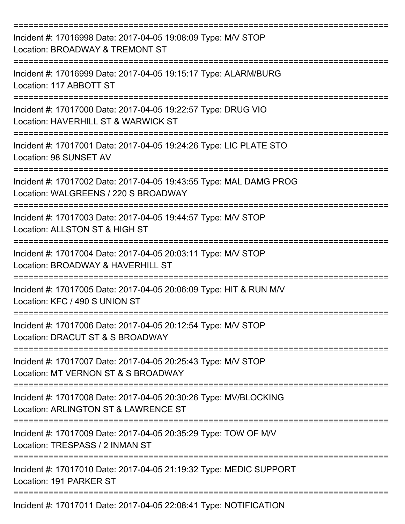| Incident #: 17016998 Date: 2017-04-05 19:08:09 Type: M/V STOP<br>Location: BROADWAY & TREMONT ST           |
|------------------------------------------------------------------------------------------------------------|
| Incident #: 17016999 Date: 2017-04-05 19:15:17 Type: ALARM/BURG<br>Location: 117 ABBOTT ST                 |
| Incident #: 17017000 Date: 2017-04-05 19:22:57 Type: DRUG VIO<br>Location: HAVERHILL ST & WARWICK ST       |
| Incident #: 17017001 Date: 2017-04-05 19:24:26 Type: LIC PLATE STO<br>Location: 98 SUNSET AV               |
| Incident #: 17017002 Date: 2017-04-05 19:43:55 Type: MAL DAMG PROG<br>Location: WALGREENS / 220 S BROADWAY |
| Incident #: 17017003 Date: 2017-04-05 19:44:57 Type: M/V STOP<br>Location: ALLSTON ST & HIGH ST            |
| Incident #: 17017004 Date: 2017-04-05 20:03:11 Type: M/V STOP<br>Location: BROADWAY & HAVERHILL ST         |
| Incident #: 17017005 Date: 2017-04-05 20:06:09 Type: HIT & RUN M/V<br>Location: KFC / 490 S UNION ST       |
| Incident #: 17017006 Date: 2017-04-05 20:12:54 Type: M/V STOP<br>Location: DRACUT ST & S BROADWAY          |
| Incident #: 17017007 Date: 2017-04-05 20:25:43 Type: M/V STOP<br>Location: MT VERNON ST & S BROADWAY       |
| Incident #: 17017008 Date: 2017-04-05 20:30:26 Type: MV/BLOCKING<br>Location: ARLINGTON ST & LAWRENCE ST   |
| Incident #: 17017009 Date: 2017-04-05 20:35:29 Type: TOW OF M/V<br>Location: TRESPASS / 2 INMAN ST         |
| Incident #: 17017010 Date: 2017-04-05 21:19:32 Type: MEDIC SUPPORT<br>Location: 191 PARKER ST              |
| Incident #: 17017011 Date: 2017-04-05 22:08:41 Type: NOTIFICATION                                          |